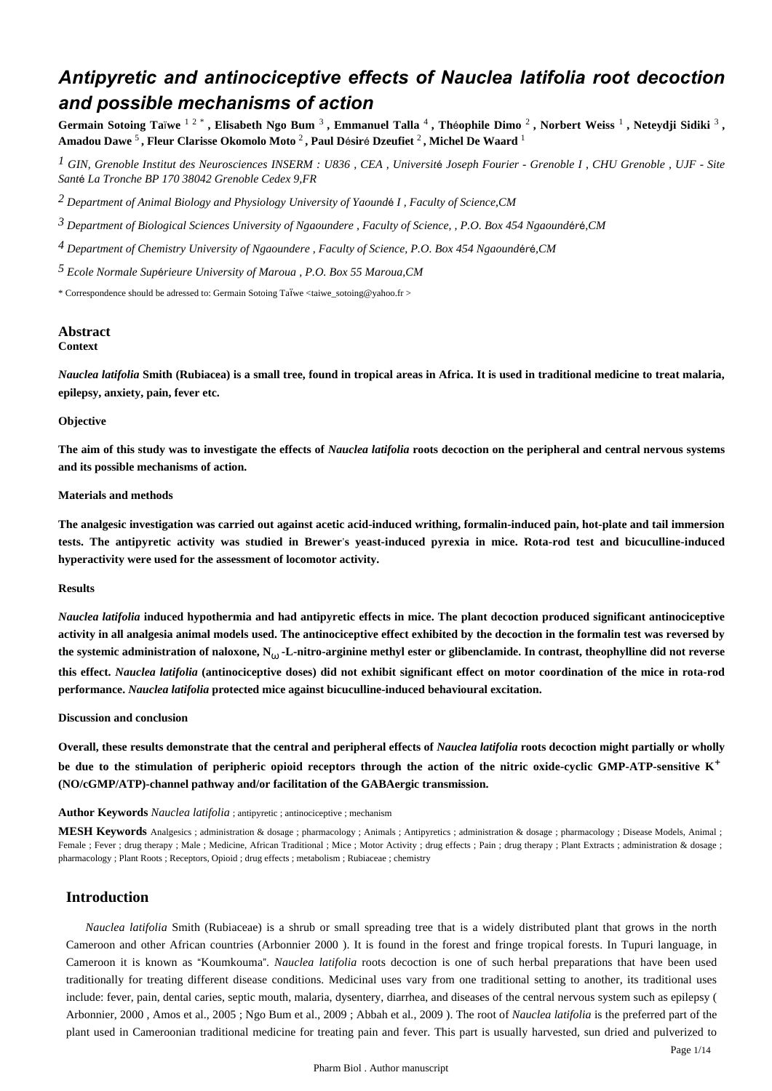# *Antipyretic and antinociceptive effects of Nauclea latifolia root decoction and possible mechanisms of action*

Germain Sotoing Taïwe <sup>1 2</sup>, Elisabeth Ngo Bum <sup>3</sup>, Emmanuel Talla <sup>4</sup>, Théophile Dimo <sup>2</sup>, Norbert Weiss <sup>1</sup>, Neteydji Sidiki <sup>3</sup>, **Amadou Dawe** <sup>5</sup> **, Fleur Clarisse Okomolo Moto** <sup>2</sup> **, Paul D**é**sir**é **Dzeufiet** <sup>2</sup> **, Michel De Waard** <sup>1</sup>

*GIN, Grenoble Institut des Neurosciences 1 INSERM : U836 , CEA , Universit*é *Joseph Fourier - Grenoble I , CHU Grenoble , UJF - Site Sant*é *La Tronche BP 170 38042 Grenoble Cedex 9,FR*

*Department of Animal Biology and Physiology 2 University of Yaound*é *I , Faculty of Science,CM*

*Department of Biological Sciences 3 University of Ngaoundere , Faculty of Science, , P.O. Box 454 Ngaound*é*r*é*,CM*

*Department of Chemistry 4 University of Ngaoundere , Faculty of Science, P.O. Box 454 Ngaound*é*r*é*,CM*

*Ecole Normale Sup rieure 5* <sup>é</sup> *University of Maroua , P.O. Box 55 Maroua,CM*

\* Correspondence should be adressed to: Germain Sotoing Taïwe  $\langle$ taiwe sotoing@yahoo.fr >

#### **Abstract Context**

*Nauclea latifolia* **Smith (Rubiacea) is a small tree, found in tropical areas in Africa. It is used in traditional medicine to treat malaria, epilepsy, anxiety, pain, fever etc.**

#### **Objective**

**The aim of this study was to investigate the effects of** *Nauclea latifolia* **roots decoction on the peripheral and central nervous systems and its possible mechanisms of action.**

#### **Materials and methods**

**The analgesic investigation was carried out against acetic acid-induced writhing, formalin-induced pain, hot-plate and tail immersion tests. The antipyretic activity was studied in Brewer**'**s yeast-induced pyrexia in mice. Rota-rod test and bicuculline-induced hyperactivity were used for the assessment of locomotor activity.**

#### **Results**

*Nauclea latifolia* **induced hypothermia and had antipyretic effects in mice. The plant decoction produced significant antinociceptive activity in all analgesia animal models used. The antinociceptive effect exhibited by the decoction in the formalin test was reversed by the systemic administration of naloxone, N**<sup>ω</sup> **-L-nitro-arginine methyl ester or glibenclamide. In contrast, theophylline did not reverse this effect.** *Nauclea latifolia* **(antinociceptive doses) did not exhibit significant effect on motor coordination of the mice in rota-rod performance.** *Nauclea latifolia* **protected mice against bicuculline-induced behavioural excitation.**

#### **Discussion and conclusion**

**Overall, these results demonstrate that the central and peripheral effects of** *Nauclea latifolia* **roots decoction might partially or wholly be due to the stimulation of peripheric opioid receptors through the action of the nitric oxide-cyclic GMP-ATP-sensitive K**+ **(NO/cGMP/ATP)-channel pathway and/or facilitation of the GABAergic transmission.**

#### **Author Keywords** *Nauclea latifolia* ; antipyretic ; antinociceptive ; mechanism

**MESH Keywords** Analgesics ; administration & dosage ; pharmacology ; Animals ; Antipyretics ; administration & dosage ; pharmacology ; Disease Models, Animal ; Female ; Fever ; drug therapy ; Male ; Medicine, African Traditional ; Mice ; Motor Activity ; drug effects ; Pain ; drug therapy ; Plant Extracts ; administration & dosage ; pharmacology ; Plant Roots ; Receptors, Opioid ; drug effects ; metabolism ; Rubiaceae ; chemistry

# **Introduction**

*Nauclea latifolia* Smith (Rubiaceae) is a shrub or small spreading tree that is a widely distributed plant that grows in the north Cameroon and other African countries (Arbonnier 2000 ). It is found in the forest and fringe tropical forests. In Tupuri language, in Cameroon it is known as "Koumkouma". *Nauclea latifolia* roots decoction is one of such herbal preparations that have been used traditionally for treating different disease conditions. Medicinal uses vary from one traditional setting to another, its traditional uses include: fever, pain, dental caries, septic mouth, malaria, dysentery, diarrhea, and diseases of the central nervous system such as epilepsy ( Arbonnier, 2000 , Amos et al., 2005 ; Ngo Bum et al., 2009 ; Abbah et al., 2009 ). The root of *Nauclea latifolia* is the preferred part of the plant used in Cameroonian traditional medicine for treating pain and fever. This part is usually harvested, sun dried and pulverized to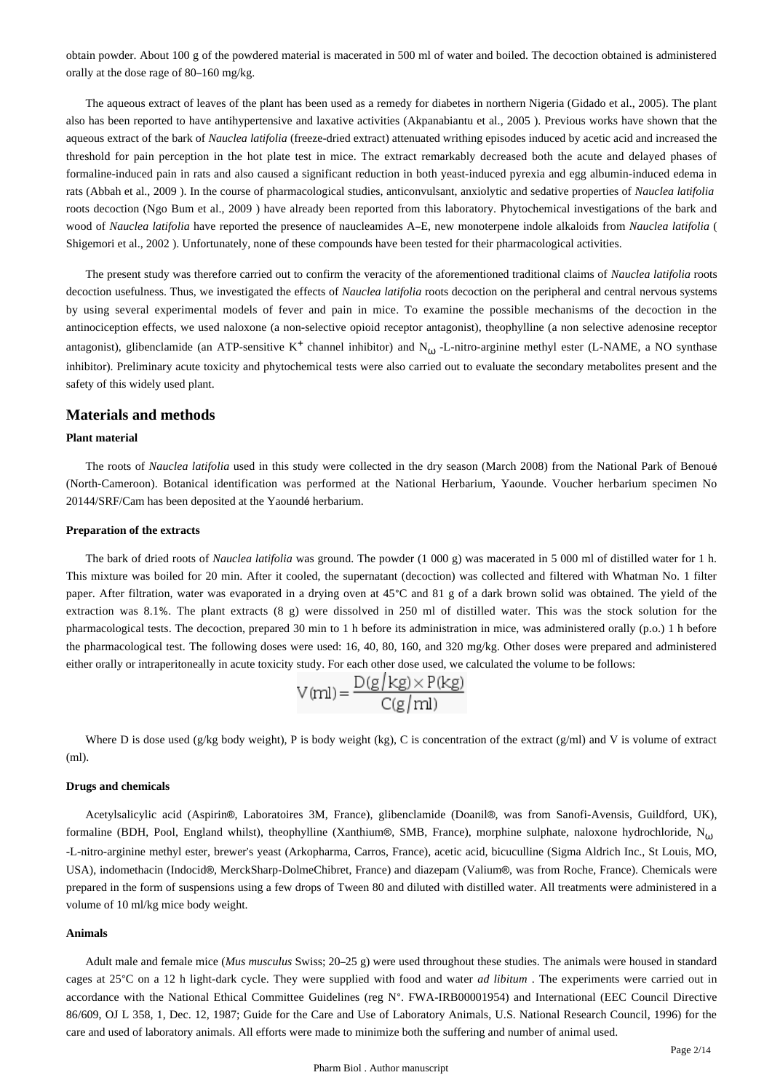obtain powder. About 100 g of the powdered material is macerated in 500 ml of water and boiled. The decoction obtained is administered orally at the dose rage of 80–160 mg/kg.

The aqueous extract of leaves of the plant has been used as a remedy for diabetes in northern Nigeria (Gidado et al., 2005). The plant also has been reported to have antihypertensive and laxative activities (Akpanabiantu et al., 2005 ). Previous works have shown that the aqueous extract of the bark of *Nauclea latifolia* (freeze-dried extract) attenuated writhing episodes induced by acetic acid and increased the threshold for pain perception in the hot plate test in mice. The extract remarkably decreased both the acute and delayed phases of formaline-induced pain in rats and also caused a significant reduction in both yeast-induced pyrexia and egg albumin-induced edema in rats (Abbah et al., 2009 ). In the course of pharmacological studies, anticonvulsant, anxiolytic and sedative properties of *Nauclea latifolia*  roots decoction (Ngo Bum et al., 2009 ) have already been reported from this laboratory. Phytochemical investigations of the bark and wood of *Nauclea latifolia* have reported the presence of naucleamides A–E, new monoterpene indole alkaloids from *Nauclea latifolia* ( Shigemori et al., 2002 ). Unfortunately, none of these compounds have been tested for their pharmacological activities.

The present study was therefore carried out to confirm the veracity of the aforementioned traditional claims of *Nauclea latifolia* roots decoction usefulness. Thus, we investigated the effects of *Nauclea latifolia* roots decoction on the peripheral and central nervous systems by using several experimental models of fever and pain in mice. To examine the possible mechanisms of the decoction in the antinociception effects, we used naloxone (a non-selective opioid receptor antagonist), theophylline (a non selective adenosine receptor antagonist), glibenclamide (an ATP-sensitive K<sup>+</sup> channel inhibitor) and N<sub> $\omega$ </sub>-L-nitro-arginine methyl ester (L-NAME, a NO synthase inhibitor). Preliminary acute toxicity and phytochemical tests were also carried out to evaluate the secondary metabolites present and the safety of this widely used plant.

#### **Materials and methods**

#### **Plant material**

The roots of *Nauclea latifolia* used in this study were collected in the dry season (March 2008) from the National Park of Benoué (North-Cameroon). Botanical identification was performed at the National Herbarium, Yaounde. Voucher herbarium specimen No 20144/SRF/Cam has been deposited at the Yaoundé herbarium.

#### **Preparation of the extracts**

The bark of dried roots of *Nauclea latifolia* was ground. The powder (1 000 g) was macerated in 5 000 ml of distilled water for 1 h. This mixture was boiled for 20 min. After it cooled, the supernatant (decoction) was collected and filtered with Whatman No. 1 filter paper. After filtration, water was evaporated in a drying oven at 45°C and 81 g of a dark brown solid was obtained. The yield of the extraction was 8.1%. The plant extracts (8 g) were dissolved in 250 ml of distilled water. This was the stock solution for the pharmacological tests. The decoction, prepared 30 min to 1 h before its administration in mice, was administered orally (p.o.) 1 h before the pharmacological test. The following doses were used: 16, 40, 80, 160, and 320 mg/kg. Other doses were prepared and administered either orally or intraperitoneally in acute toxicity study. For each other dose used, we calculated the volume to be follows:

$$
V(ml) = \frac{D(g/kg) \times P(kg)}{C(g/ml)}
$$

Where D is dose used (g/kg body weight), P is body weight (kg), C is concentration of the extract (g/ml) and V is volume of extract (ml).

### **Drugs and chemicals**

Acetylsalicylic acid (Aspirin®, Laboratoires 3M, France), glibenclamide (Doanil®, was from Sanofi-Avensis, Guildford, UK), formaline (BDH, Pool, England whilst), theophylline (Xanthium®, SMB, France), morphine sulphate, naloxone hydrochloride,  $N_{(1)}$ -L-nitro-arginine methyl ester, brewer's yeast (Arkopharma, Carros, France), acetic acid, bicuculline (Sigma Aldrich Inc., St Louis, MO, USA), indomethacin (Indocid®, MerckSharp-DolmeChibret, France) and diazepam (Valium®, was from Roche, France). Chemicals were prepared in the form of suspensions using a few drops of Tween 80 and diluted with distilled water. All treatments were administered in a volume of 10 ml/kg mice body weight.

#### **Animals**

Adult male and female mice (*Mus musculus* Swiss; 20–25 g) were used throughout these studies. The animals were housed in standard cages at 25°C on a 12 h light-dark cycle. They were supplied with food and water *ad libitum* . The experiments were carried out in accordance with the National Ethical Committee Guidelines (reg N°. FWA-IRB00001954) and International (EEC Council Directive 86/609, OJ L 358, 1, Dec. 12, 1987; Guide for the Care and Use of Laboratory Animals, U.S. National Research Council, 1996) for the care and used of laboratory animals. All efforts were made to minimize both the suffering and number of animal used.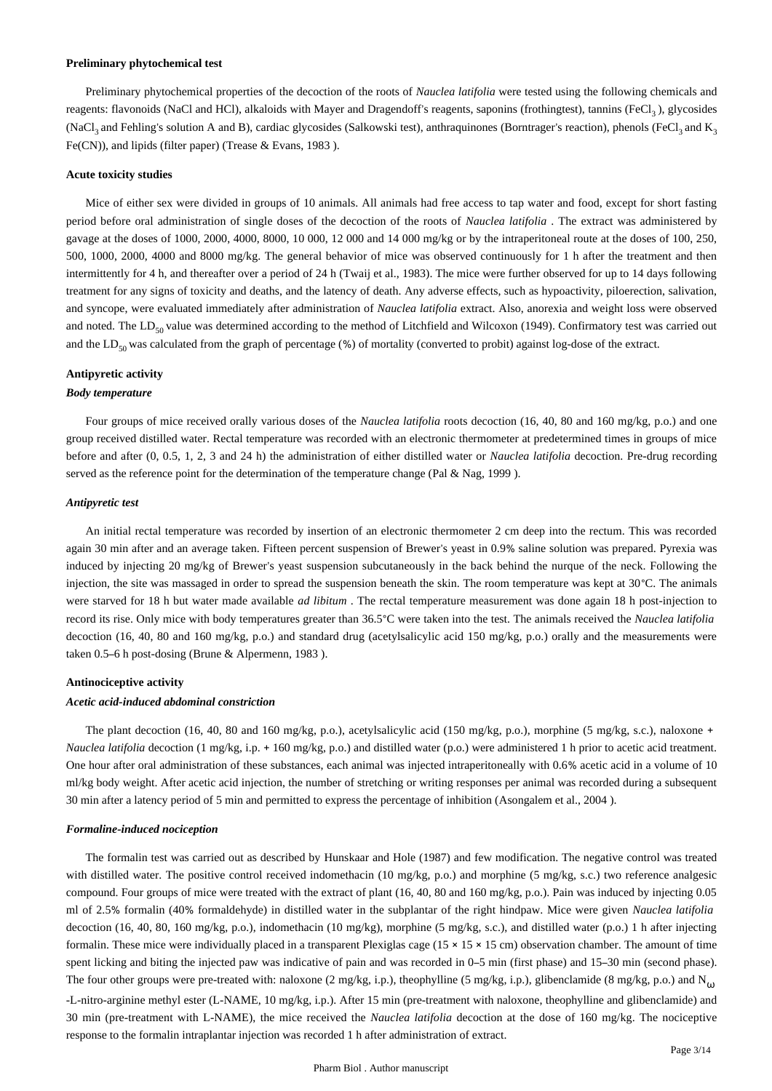#### **Preliminary phytochemical test**

Preliminary phytochemical properties of the decoction of the roots of *Nauclea latifolia* were tested using the following chemicals and reagents: flavonoids (NaCl and HCl), alkaloids with Mayer and Dragendoff's reagents, saponins (frothingtest), tannins (FeCl<sub>3</sub>), glycosides (NaCl<sub>3</sub> and Fehling's solution A and B), cardiac glycosides (Salkowski test), anthraquinones (Borntrager's reaction), phenols (FeCl<sub>3</sub> and K<sub>3</sub> Fe(CN)), and lipids (filter paper) (Trease & Evans, 1983 ).

#### **Acute toxicity studies**

Mice of either sex were divided in groups of 10 animals. All animals had free access to tap water and food, except for short fasting period before oral administration of single doses of the decoction of the roots of *Nauclea latifolia* . The extract was administered by gavage at the doses of 1000, 2000, 4000, 8000, 10 000, 12 000 and 14 000 mg/kg or by the intraperitoneal route at the doses of 100, 250, 500, 1000, 2000, 4000 and 8000 mg/kg. The general behavior of mice was observed continuously for 1 h after the treatment and then intermittently for 4 h, and thereafter over a period of 24 h (Twaij et al., 1983). The mice were further observed for up to 14 days following treatment for any signs of toxicity and deaths, and the latency of death. Any adverse effects, such as hypoactivity, piloerection, salivation, and syncope, were evaluated immediately after administration of *Nauclea latifolia* extract. Also, anorexia and weight loss were observed and noted. The  $LD_{50}$  value was determined according to the method of Litchfield and Wilcoxon (1949). Confirmatory test was carried out and the LD<sub>50</sub> was calculated from the graph of percentage (%) of mortality (converted to probit) against log-dose of the extract.

# **Antipyretic activity**

## *Body temperature*

Four groups of mice received orally various doses of the *Nauclea latifolia* roots decoction (16, 40, 80 and 160 mg/kg, p.o.) and one group received distilled water. Rectal temperature was recorded with an electronic thermometer at predetermined times in groups of mice before and after (0, 0.5, 1, 2, 3 and 24 h) the administration of either distilled water or *Nauclea latifolia* decoction. Pre-drug recording served as the reference point for the determination of the temperature change (Pal & Nag, 1999).

#### *Antipyretic test*

An initial rectal temperature was recorded by insertion of an electronic thermometer 2 cm deep into the rectum. This was recorded again 30 min after and an average taken. Fifteen percent suspension of Brewer's yeast in 0.9% saline solution was prepared. Pyrexia was induced by injecting 20 mg/kg of Brewer's yeast suspension subcutaneously in the back behind the nurque of the neck. Following the injection, the site was massaged in order to spread the suspension beneath the skin. The room temperature was kept at 30°C. The animals were starved for 18 h but water made available *ad libitum* . The rectal temperature measurement was done again 18 h post-injection to record its rise. Only mice with body temperatures greater than 36.5°C were taken into the test. The animals received the *Nauclea latifolia*  decoction (16, 40, 80 and 160 mg/kg, p.o.) and standard drug (acetylsalicylic acid 150 mg/kg, p.o.) orally and the measurements were taken 0.5–6 h post-dosing (Brune & Alpermenn, 1983 ).

#### **Antinociceptive activity**

# *Acetic acid-induced abdominal constriction*

The plant decoction (16, 40, 80 and 160 mg/kg, p.o.), acetylsalicylic acid (150 mg/kg, p.o.), morphine (5 mg/kg, s.c.), naloxone + *Nauclea latifolia* decoction (1 mg/kg, i.p. + 160 mg/kg, p.o.) and distilled water (p.o.) were administered 1 h prior to acetic acid treatment. One hour after oral administration of these substances, each animal was injected intraperitoneally with 0.6% acetic acid in a volume of 10 ml/kg body weight. After acetic acid injection, the number of stretching or writing responses per animal was recorded during a subsequent 30 min after a latency period of 5 min and permitted to express the percentage of inhibition (Asongalem et al., 2004 ).

#### *Formaline-induced nociception*

The formalin test was carried out as described by Hunskaar and Hole (1987) and few modification. The negative control was treated with distilled water. The positive control received indomethacin (10 mg/kg, p.o.) and morphine (5 mg/kg, s.c.) two reference analgesic compound. Four groups of mice were treated with the extract of plant (16, 40, 80 and 160 mg/kg, p.o.). Pain was induced by injecting 0.05 ml of 2.5% formalin (40% formaldehyde) in distilled water in the subplantar of the right hindpaw. Mice were given *Nauclea latifolia*  decoction (16, 40, 80, 160 mg/kg, p.o.), indomethacin (10 mg/kg), morphine (5 mg/kg, s.c.), and distilled water (p.o.) 1 h after injecting formalin. These mice were individually placed in a transparent Plexiglas cage  $(15 \times 15 \times 15 \text{ cm})$  observation chamber. The amount of time spent licking and biting the injected paw was indicative of pain and was recorded in 0–5 min (first phase) and 15–30 min (second phase). The four other groups were pre-treated with: naloxone (2 mg/kg, i.p.), theophylline (5 mg/kg, i.p.), glibenclamide (8 mg/kg, p.o.) and  $N_{(1)}$ -L-nitro-arginine methyl ester (L-NAME, 10 mg/kg, i.p.). After 15 min (pre-treatment with naloxone, theophylline and glibenclamide) and 30 min (pre-treatment with L-NAME), the mice received the *Nauclea latifolia* decoction at the dose of 160 mg/kg. The nociceptive response to the formalin intraplantar injection was recorded 1 h after administration of extract.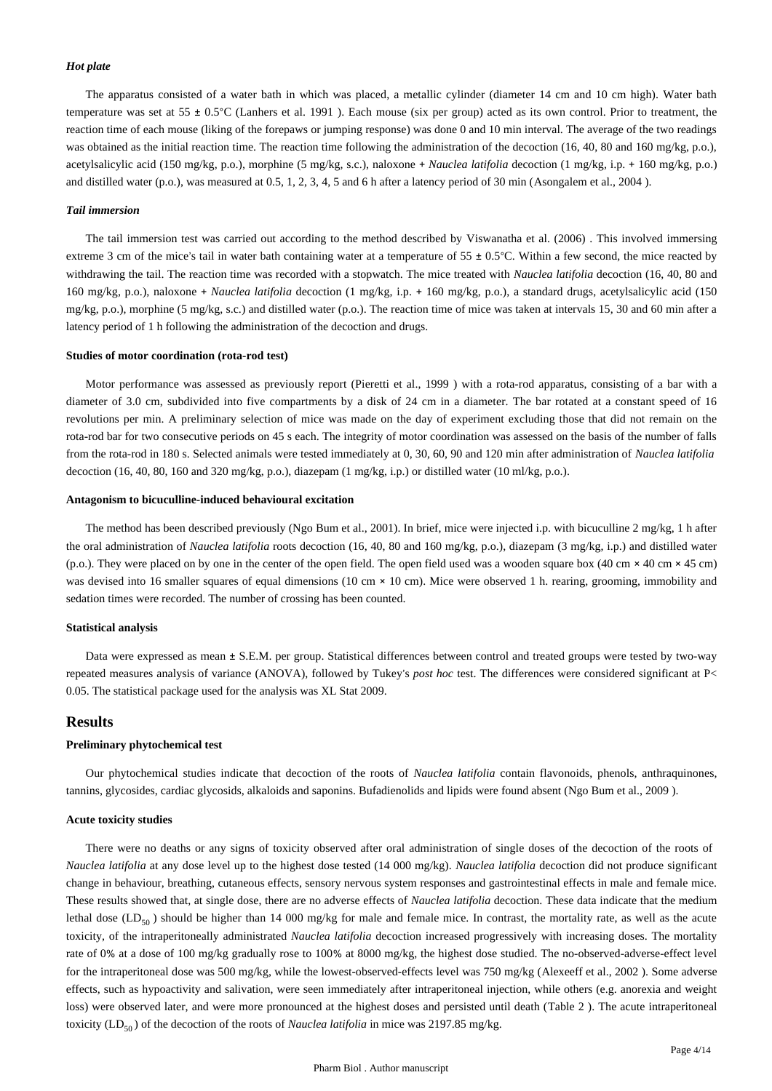#### *Hot plate*

The apparatus consisted of a water bath in which was placed, a metallic cylinder (diameter 14 cm and 10 cm high). Water bath temperature was set at 55 ± 0.5°C (Lanhers et al. 1991 ). Each mouse (six per group) acted as its own control. Prior to treatment, the reaction time of each mouse (liking of the forepaws or jumping response) was done 0 and 10 min interval. The average of the two readings was obtained as the initial reaction time. The reaction time following the administration of the decoction (16, 40, 80 and 160 mg/kg, p.o.), acetylsalicylic acid (150 mg/kg, p.o.), morphine (5 mg/kg, s.c.), naloxone + *Nauclea latifolia* decoction (1 mg/kg, i.p. + 160 mg/kg, p.o.) and distilled water (p.o.), was measured at 0.5, 1, 2, 3, 4, 5 and 6 h after a latency period of 30 min (Asongalem et al., 2004 ).

#### *Tail immersion*

The tail immersion test was carried out according to the method described by Viswanatha et al. (2006) . This involved immersing extreme 3 cm of the mice's tail in water bath containing water at a temperature of  $55 \pm 0.5^{\circ}$ C. Within a few second, the mice reacted by withdrawing the tail. The reaction time was recorded with a stopwatch. The mice treated with *Nauclea latifolia* decoction (16, 40, 80 and 160 mg/kg, p.o.), naloxone + *Nauclea latifolia* decoction (1 mg/kg, i.p. + 160 mg/kg, p.o.), a standard drugs, acetylsalicylic acid (150 mg/kg, p.o.), morphine (5 mg/kg, s.c.) and distilled water (p.o.). The reaction time of mice was taken at intervals 15, 30 and 60 min after a latency period of 1 h following the administration of the decoction and drugs.

#### **Studies of motor coordination (rota-rod test)**

Motor performance was assessed as previously report (Pieretti et al., 1999 ) with a rota-rod apparatus, consisting of a bar with a diameter of 3.0 cm, subdivided into five compartments by a disk of 24 cm in a diameter. The bar rotated at a constant speed of 16 revolutions per min. A preliminary selection of mice was made on the day of experiment excluding those that did not remain on the rota-rod bar for two consecutive periods on 45 s each. The integrity of motor coordination was assessed on the basis of the number of falls from the rota-rod in 180 s. Selected animals were tested immediately at 0, 30, 60, 90 and 120 min after administration of *Nauclea latifolia*  decoction (16, 40, 80, 160 and 320 mg/kg, p.o.), diazepam (1 mg/kg, i.p.) or distilled water (10 ml/kg, p.o.).

#### **Antagonism to bicuculline-induced behavioural excitation**

The method has been described previously (Ngo Bum et al., 2001). In brief, mice were injected i.p. with bicuculline 2 mg/kg, 1 h after the oral administration of *Nauclea latifolia* roots decoction (16, 40, 80 and 160 mg/kg, p.o.), diazepam (3 mg/kg, i.p.) and distilled water (p.o.). They were placed on by one in the center of the open field. The open field used was a wooden square box (40 cm × 40 cm × 45 cm) was devised into 16 smaller squares of equal dimensions (10 cm × 10 cm). Mice were observed 1 h. rearing, grooming, immobility and sedation times were recorded. The number of crossing has been counted.

#### **Statistical analysis**

Data were expressed as mean ± S.E.M. per group. Statistical differences between control and treated groups were tested by two-way repeated measures analysis of variance (ANOVA), followed by Tukey's *post hoc* test. The differences were considered significant at P< 0.05. The statistical package used for the analysis was XL Stat 2009.

# **Results**

#### **Preliminary phytochemical test**

Our phytochemical studies indicate that decoction of the roots of *Nauclea latifolia* contain flavonoids, phenols, anthraquinones, tannins, glycosides, cardiac glycosids, alkaloids and saponins. Bufadienolids and lipids were found absent (Ngo Bum et al., 2009 ).

#### **Acute toxicity studies**

There were no deaths or any signs of toxicity observed after oral administration of single doses of the decoction of the roots of *Nauclea latifolia* at any dose level up to the highest dose tested (14 000 mg/kg). *Nauclea latifolia* decoction did not produce significant change in behaviour, breathing, cutaneous effects, sensory nervous system responses and gastrointestinal effects in male and female mice. These results showed that, at single dose, there are no adverse effects of *Nauclea latifolia* decoction. These data indicate that the medium lethal dose (LD<sub>50</sub>) should be higher than 14 000 mg/kg for male and female mice. In contrast, the mortality rate, as well as the acute toxicity, of the intraperitoneally administrated *Nauclea latifolia* decoction increased progressively with increasing doses. The mortality rate of 0% at a dose of 100 mg/kg gradually rose to 100% at 8000 mg/kg, the highest dose studied. The no-observed-adverse-effect level for the intraperitoneal dose was 500 mg/kg, while the lowest-observed-effects level was 750 mg/kg (Alexeeff et al., 2002 ). Some adverse effects, such as hypoactivity and salivation, were seen immediately after intraperitoneal injection, while others (e.g. anorexia and weight loss) were observed later, and were more pronounced at the highest doses and persisted until death (Table 2). The acute intraperitoneal toxicity (LD<sub>50</sub>) of the decoction of the roots of *Nauclea latifolia* in mice was 2197.85 mg/kg.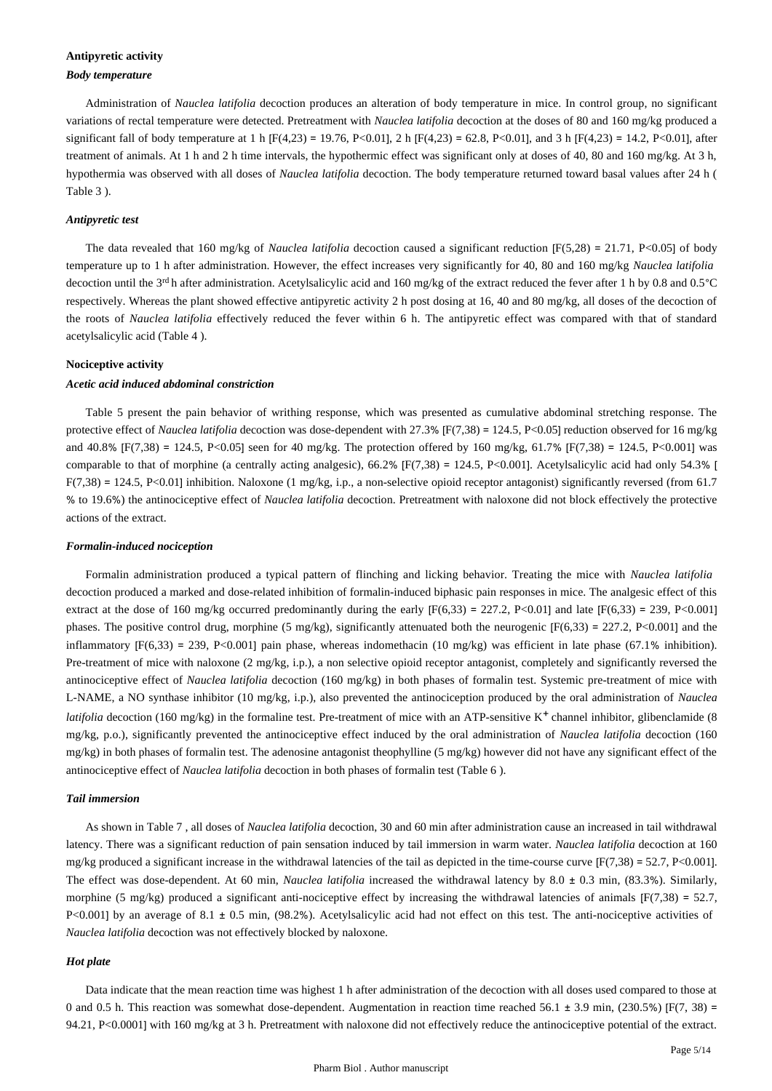# **Antipyretic activity**

#### *Body temperature*

Administration of *Nauclea latifolia* decoction produces an alteration of body temperature in mice. In control group, no significant variations of rectal temperature were detected. Pretreatment with *Nauclea latifolia* decoction at the doses of 80 and 160 mg/kg produced a significant fall of body temperature at 1 h [F(4,23) = 19.76, P<0.01], 2 h [F(4,23) = 62.8, P<0.01], and 3 h [F(4,23) = 14.2, P<0.01], after treatment of animals. At 1 h and 2 h time intervals, the hypothermic effect was significant only at doses of 40, 80 and 160 mg/kg. At 3 h, hypothermia was observed with all doses of *Nauclea latifolia* decoction. The body temperature returned toward basal values after 24 h ( Table 3 ).

# *Antipyretic test*

The data revealed that 160 mg/kg of *Nauclea latifolia* decoction caused a significant reduction [F(5,28) = 21.71, P<0.05] of body temperature up to 1 h after administration. However, the effect increases very significantly for 40, 80 and 160 mg/kg *Nauclea latifolia*  decoction until the 3rd h after administration. Acetylsalicylic acid and 160 mg/kg of the extract reduced the fever after 1 h by 0.8 and 0.5°C respectively. Whereas the plant showed effective antipyretic activity 2 h post dosing at 16, 40 and 80 mg/kg, all doses of the decoction of the roots of *Nauclea latifolia* effectively reduced the fever within 6 h. The antipyretic effect was compared with that of standard acetylsalicylic acid (Table 4 ).

# **Nociceptive activity**

#### *Acetic acid induced abdominal constriction*

Table 5 present the pain behavior of writhing response, which was presented as cumulative abdominal stretching response. The protective effect of *Nauclea latifolia* decoction was dose-dependent with 27.3% [F(7,38) = 124.5, P<0.05] reduction observed for 16 mg/kg and 40.8% [F(7,38) = 124.5, P<0.05] seen for 40 mg/kg. The protection offered by 160 mg/kg, 61.7% [F(7,38) = 124.5, P<0.001] was comparable to that of morphine (a centrally acting analgesic),  $66.2\%$  [F(7,38) = 124.5, P<0.001]. Acetylsalicylic acid had only 54.3% [  $F(7,38) = 124.5$ , P<0.01] inhibition. Naloxone (1 mg/kg, i.p., a non-selective opioid receptor antagonist) significantly reversed (from 61.7 % to 19.6%) the antinociceptive effect of *Nauclea latifolia* decoction. Pretreatment with naloxone did not block effectively the protective actions of the extract.

#### *Formalin-induced nociception*

Formalin administration produced a typical pattern of flinching and licking behavior. Treating the mice with *Nauclea latifolia*  decoction produced a marked and dose-related inhibition of formalin-induced biphasic pain responses in mice. The analgesic effect of this extract at the dose of 160 mg/kg occurred predominantly during the early  $[F(6,33) = 227.2, P<0.01]$  and late  $[F(6,33) = 239, P<0.001]$ phases. The positive control drug, morphine (5 mg/kg), significantly attenuated both the neurogenic  $[F(6,33) = 227.2, P<0.001]$  and the inflammatory  $[F(6,33) = 239, P<0.001]$  pain phase, whereas indomethacin (10 mg/kg) was efficient in late phase (67.1% inhibition). Pre-treatment of mice with naloxone (2 mg/kg, i.p.), a non selective opioid receptor antagonist, completely and significantly reversed the antinociceptive effect of *Nauclea latifolia* decoction (160 mg/kg) in both phases of formalin test. Systemic pre-treatment of mice with L-NAME, a NO synthase inhibitor (10 mg/kg, i.p.), also prevented the antinociception produced by the oral administration of *Nauclea latifolia* decoction (160 mg/kg) in the formaline test. Pre-treatment of mice with an ATP-sensitive  $K^+$  channel inhibitor, glibenclamide (8) mg/kg, p.o.), significantly prevented the antinociceptive effect induced by the oral administration of *Nauclea latifolia* decoction (160 mg/kg) in both phases of formalin test. The adenosine antagonist theophylline (5 mg/kg) however did not have any significant effect of the antinociceptive effect of *Nauclea latifolia* decoction in both phases of formalin test (Table 6 ).

# *Tail immersion*

As shown in Table 7 , all doses of *Nauclea latifolia* decoction, 30 and 60 min after administration cause an increased in tail withdrawal latency. There was a significant reduction of pain sensation induced by tail immersion in warm water. *Nauclea latifolia* decoction at 160 mg/kg produced a significant increase in the withdrawal latencies of the tail as depicted in the time-course curve  $[F(7,38) = 52.7, P<0.001]$ . The effect was dose-dependent. At 60 min, *Nauclea latifolia* increased the withdrawal latency by 8.0 ± 0.3 min, (83.3%). Similarly, morphine (5 mg/kg) produced a significant anti-nociceptive effect by increasing the withdrawal latencies of animals  $[F(7,38) = 52.7$ , P<0.001] by an average of 8.1 ± 0.5 min, (98.2%). Acetylsalicylic acid had not effect on this test. The anti-nociceptive activities of *Nauclea latifolia* decoction was not effectively blocked by naloxone.

#### *Hot plate*

Data indicate that the mean reaction time was highest 1 h after administration of the decoction with all doses used compared to those at 0 and 0.5 h. This reaction was somewhat dose-dependent. Augmentation in reaction time reached 56.1  $\pm$  3.9 min, (230.5%) [F(7, 38) = 94.21, P<0.0001] with 160 mg/kg at 3 h. Pretreatment with naloxone did not effectively reduce the antinociceptive potential of the extract.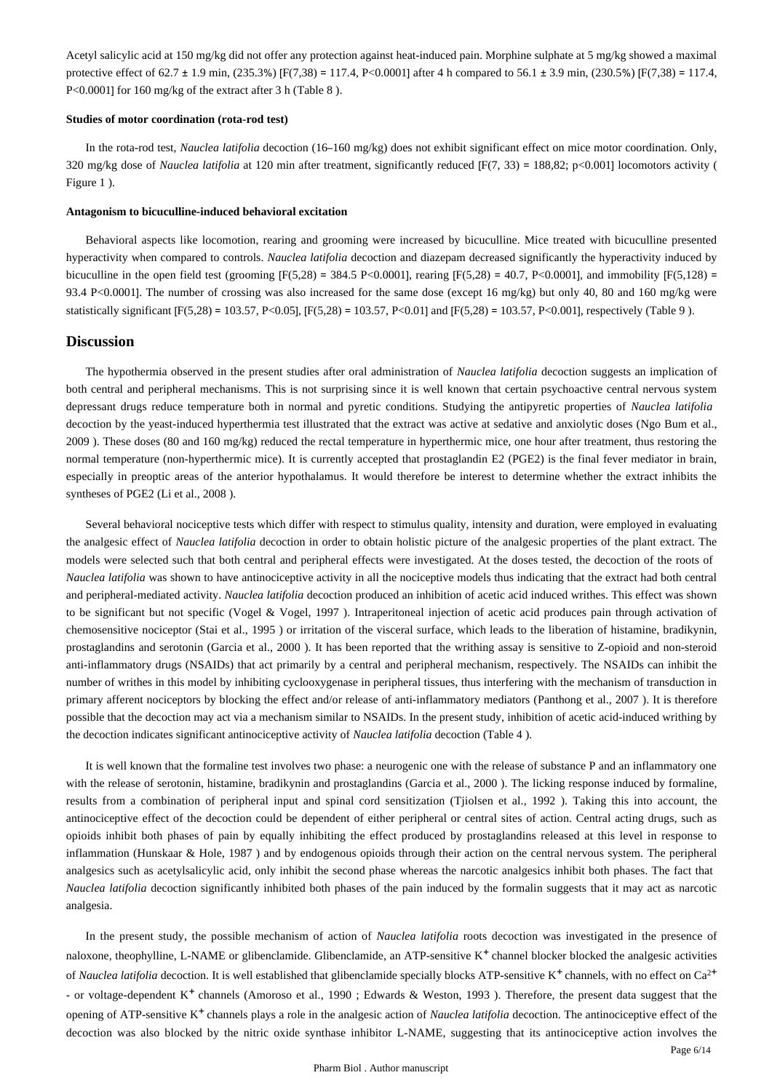Acetyl salicylic acid at 150 mg/kg did not offer any protection against heat-induced pain. Morphine sulphate at 5 mg/kg showed a maximal protective effect of 62.7 ± 1.9 min, (235.3%) [F(7,38) = 117.4, P<0.0001] after 4 h compared to 56.1 ± 3.9 min, (230.5%) [F(7,38) = 117.4, P<0.0001] for 160 mg/kg of the extract after 3 h (Table 8).

#### **Studies of motor coordination (rota-rod test)**

In the rota-rod test, *Nauclea latifolia* decoction (16–160 mg/kg) does not exhibit significant effect on mice motor coordination. Only, 320 mg/kg dose of *Nauclea latifolia* at 120 min after treatment, significantly reduced [F(7, 33) = 188,82; p<0.001] locomotors activity ( Figure 1 ).

#### **Antagonism to bicuculline-induced behavioral excitation**

Behavioral aspects like locomotion, rearing and grooming were increased by bicuculline. Mice treated with bicuculline presented hyperactivity when compared to controls. *Nauclea latifolia* decoction and diazepam decreased significantly the hyperactivity induced by bicuculline in the open field test (grooming  $[F(5,28) = 384.5 \text{ P} < 0.0001]$ , rearing  $[F(5,28) = 40.7, \text{ P} < 0.0001]$ , and immobility  $[F(5,128) =$ 93.4 P<0.0001]. The number of crossing was also increased for the same dose (except 16 mg/kg) but only 40, 80 and 160 mg/kg were statistically significant [F(5,28) = 103.57, P<0.05], [F(5,28) = 103.57, P<0.01] and [F(5,28) = 103.57, P<0.001], respectively (Table 9).

### **Discussion**

The hypothermia observed in the present studies after oral administration of *Nauclea latifolia* decoction suggests an implication of both central and peripheral mechanisms. This is not surprising since it is well known that certain psychoactive central nervous system depressant drugs reduce temperature both in normal and pyretic conditions. Studying the antipyretic properties of *Nauclea latifolia*  decoction by the yeast-induced hyperthermia test illustrated that the extract was active at sedative and anxiolytic doses (Ngo Bum et al., 2009 ). These doses (80 and 160 mg/kg) reduced the rectal temperature in hyperthermic mice, one hour after treatment, thus restoring the normal temperature (non-hyperthermic mice). It is currently accepted that prostaglandin E2 (PGE2) is the final fever mediator in brain, especially in preoptic areas of the anterior hypothalamus. It would therefore be interest to determine whether the extract inhibits the syntheses of PGE2 (Li et al., 2008 ).

Several behavioral nociceptive tests which differ with respect to stimulus quality, intensity and duration, were employed in evaluating the analgesic effect of *Nauclea latifolia* decoction in order to obtain holistic picture of the analgesic properties of the plant extract. The models were selected such that both central and peripheral effects were investigated. At the doses tested, the decoction of the roots of *Nauclea latifolia* was shown to have antinociceptive activity in all the nociceptive models thus indicating that the extract had both central and peripheral-mediated activity. *Nauclea latifolia* decoction produced an inhibition of acetic acid induced writhes. This effect was shown to be significant but not specific (Vogel & Vogel, 1997 ). Intraperitoneal injection of acetic acid produces pain through activation of chemosensitive nociceptor (Stai et al., 1995 ) or irritation of the visceral surface, which leads to the liberation of histamine, bradikynin, prostaglandins and serotonin (Garcia et al., 2000 ). It has been reported that the writhing assay is sensitive to Z-opioid and non-steroid anti-inflammatory drugs (NSAIDs) that act primarily by a central and peripheral mechanism, respectively. The NSAIDs can inhibit the number of writhes in this model by inhibiting cyclooxygenase in peripheral tissues, thus interfering with the mechanism of transduction in primary afferent nociceptors by blocking the effect and/or release of anti-inflammatory mediators (Panthong et al., 2007 ). It is therefore possible that the decoction may act via a mechanism similar to NSAIDs. In the present study, inhibition of acetic acid-induced writhing by the decoction indicates significant antinociceptive activity of *Nauclea latifolia* decoction (Table 4 ).

It is well known that the formaline test involves two phase: a neurogenic one with the release of substance P and an inflammatory one with the release of serotonin, histamine, bradikynin and prostaglandins (Garcia et al., 2000 ). The licking response induced by formaline, results from a combination of peripheral input and spinal cord sensitization (Tjiolsen et al., 1992 ). Taking this into account, the antinociceptive effect of the decoction could be dependent of either peripheral or central sites of action. Central acting drugs, such as opioids inhibit both phases of pain by equally inhibiting the effect produced by prostaglandins released at this level in response to inflammation (Hunskaar & Hole, 1987 ) and by endogenous opioids through their action on the central nervous system. The peripheral analgesics such as acetylsalicylic acid, only inhibit the second phase whereas the narcotic analgesics inhibit both phases. The fact that *Nauclea latifolia* decoction significantly inhibited both phases of the pain induced by the formalin suggests that it may act as narcotic analgesia.

In the present study, the possible mechanism of action of *Nauclea latifolia* roots decoction was investigated in the presence of naloxone, theophylline, L-NAME or glibenclamide. Glibenclamide, an ATP-sensitive  $K^+$  channel blocker blocked the analgesic activities of *Nauclea latifolia* decoction. It is well established that glibenclamide specially blocks ATP-sensitive K<sup>+</sup> channels, with no effect on Ca<sup>2+</sup> - or voltage-dependent K<sup>+</sup> channels (Amoroso et al., 1990 ; Edwards & Weston, 1993 ). Therefore, the present data suggest that the opening of ATP-sensitive K<sup>+</sup> channels plays a role in the analgesic action of *Nauclea latifolia* decoction. The antinociceptive effect of the decoction was also blocked by the nitric oxide synthase inhibitor L-NAME, suggesting that its antinociceptive action involves the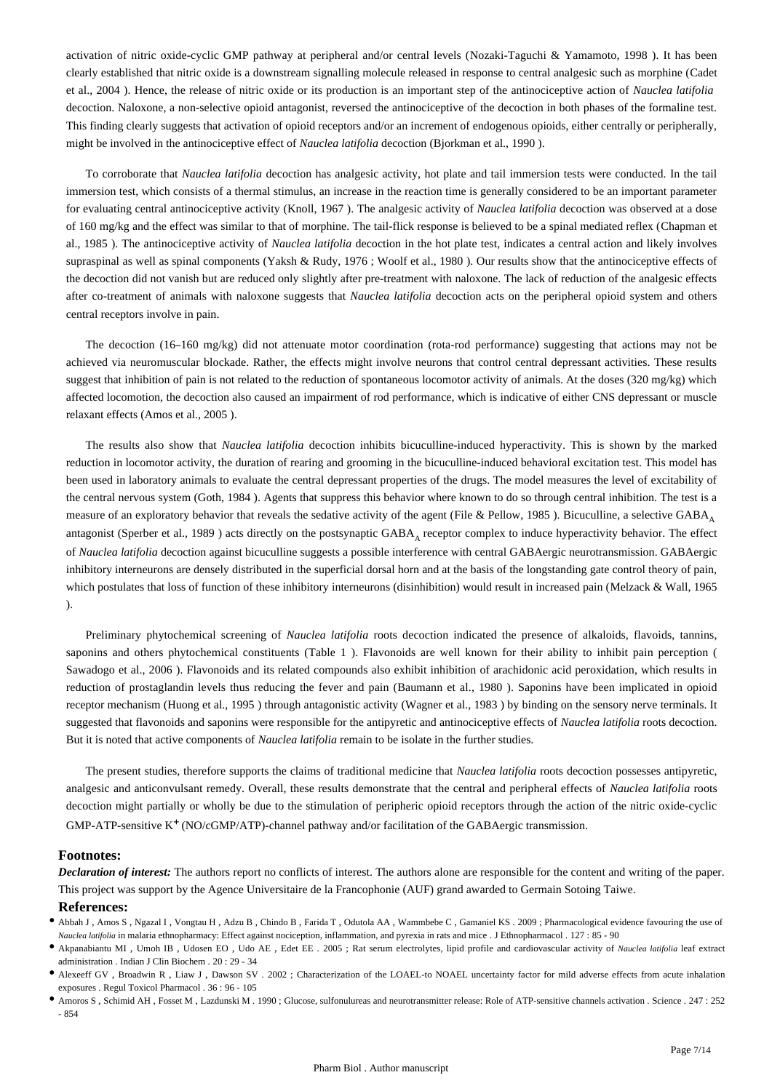activation of nitric oxide-cyclic GMP pathway at peripheral and/or central levels (Nozaki-Taguchi & Yamamoto, 1998 ). It has been clearly established that nitric oxide is a downstream signalling molecule released in response to central analgesic such as morphine (Cadet et al., 2004 ). Hence, the release of nitric oxide or its production is an important step of the antinociceptive action of *Nauclea latifolia*  decoction. Naloxone, a non-selective opioid antagonist, reversed the antinociceptive of the decoction in both phases of the formaline test. This finding clearly suggests that activation of opioid receptors and/or an increment of endogenous opioids, either centrally or peripherally, might be involved in the antinociceptive effect of *Nauclea latifolia* decoction (Bjorkman et al., 1990 ).

To corroborate that *Nauclea latifolia* decoction has analgesic activity, hot plate and tail immersion tests were conducted. In the tail immersion test, which consists of a thermal stimulus, an increase in the reaction time is generally considered to be an important parameter for evaluating central antinociceptive activity (Knoll, 1967 ). The analgesic activity of *Nauclea latifolia* decoction was observed at a dose of 160 mg/kg and the effect was similar to that of morphine. The tail-flick response is believed to be a spinal mediated reflex (Chapman et al., 1985 ). The antinociceptive activity of *Nauclea latifolia* decoction in the hot plate test, indicates a central action and likely involves supraspinal as well as spinal components (Yaksh & Rudy, 1976; Woolf et al., 1980). Our results show that the antinociceptive effects of the decoction did not vanish but are reduced only slightly after pre-treatment with naloxone. The lack of reduction of the analgesic effects after co-treatment of animals with naloxone suggests that *Nauclea latifolia* decoction acts on the peripheral opioid system and others central receptors involve in pain.

The decoction (16–160 mg/kg) did not attenuate motor coordination (rota-rod performance) suggesting that actions may not be achieved via neuromuscular blockade. Rather, the effects might involve neurons that control central depressant activities. These results suggest that inhibition of pain is not related to the reduction of spontaneous locomotor activity of animals. At the doses (320 mg/kg) which affected locomotion, the decoction also caused an impairment of rod performance, which is indicative of either CNS depressant or muscle relaxant effects (Amos et al., 2005 ).

The results also show that *Nauclea latifolia* decoction inhibits bicuculline-induced hyperactivity. This is shown by the marked reduction in locomotor activity, the duration of rearing and grooming in the bicuculline-induced behavioral excitation test. This model has been used in laboratory animals to evaluate the central depressant properties of the drugs. The model measures the level of excitability of the central nervous system (Goth, 1984 ). Agents that suppress this behavior where known to do so through central inhibition. The test is a measure of an exploratory behavior that reveals the sedative activity of the agent (File & Pellow, 1985). Bicuculline, a selective GABA $_A$ antagonist (Sperber et al., 1989) acts directly on the postsynaptic GABA receptor complex to induce hyperactivity behavior. The effect of *Nauclea latifolia* decoction against bicuculline suggests a possible interference with central GABAergic neurotransmission. GABAergic inhibitory interneurons are densely distributed in the superficial dorsal horn and at the basis of the longstanding gate control theory of pain, which postulates that loss of function of these inhibitory interneurons (disinhibition) would result in increased pain (Melzack & Wall, 1965 ).

Preliminary phytochemical screening of *Nauclea latifolia* roots decoction indicated the presence of alkaloids, flavoids, tannins, saponins and others phytochemical constituents (Table 1 ). Flavonoids are well known for their ability to inhibit pain perception ( Sawadogo et al., 2006 ). Flavonoids and its related compounds also exhibit inhibition of arachidonic acid peroxidation, which results in reduction of prostaglandin levels thus reducing the fever and pain (Baumann et al., 1980 ). Saponins have been implicated in opioid receptor mechanism (Huong et al., 1995 ) through antagonistic activity (Wagner et al., 1983 ) by binding on the sensory nerve terminals. It suggested that flavonoids and saponins were responsible for the antipyretic and antinociceptive effects of *Nauclea latifolia* roots decoction. But it is noted that active components of *Nauclea latifolia* remain to be isolate in the further studies.

The present studies, therefore supports the claims of traditional medicine that *Nauclea latifolia* roots decoction possesses antipyretic, analgesic and anticonvulsant remedy. Overall, these results demonstrate that the central and peripheral effects of *Nauclea latifolia* roots decoction might partially or wholly be due to the stimulation of peripheric opioid receptors through the action of the nitric oxide-cyclic  $GMP-ATP$ -sensitive  $K^+(NO/CGMP/ATP)$ -channel pathway and/or facilitation of the GABAergic transmission.

# **Footnotes:**

*Declaration of interest:* The authors report no conflicts of interest. The authors alone are responsible for the content and writing of the paper. This project was support by the Agence Universitaire de la Francophonie (AUF) grand awarded to Germain Sotoing Taiwe.

# **References:**

- Abbah J , Amos S , Ngazal I , Vongtau H , Adzu B , Chindo B , Farida T , Odutola AA , Wammbebe C , Gamaniel KS . 2009 ; Pharmacological evidence favouring the use of *Nauclea latifolia* in malaria ethnopharmacy: Effect against nociception, inflammation, and pyrexia in rats and mice . J Ethnopharmacol . 127 : 85 - 90
- Akpanabiantu MI , Umoh IB , Udosen EO , Udo AE , Edet EE . 2005 ; Rat serum electrolytes, lipid profile and cardiovascular activity of *Nauclea latifolia* leaf extract administration . Indian J Clin Biochem . 20 : 29 - 34
- Alexeeff GV , Broadwin R , Liaw J , Dawson SV . 2002 ; Characterization of the LOAEL-to NOAEL uncertainty factor for mild adverse effects from acute inhalation exposures . Regul Toxicol Pharmacol . 36 : 96 - 105
- Amoros S , Schimid AH , Fosset M , Lazdunski M . 1990 ; Glucose, sulfonulureas and neurotransmitter release: Role of ATP-sensitive channels activation . Science . 247 : 252 - 854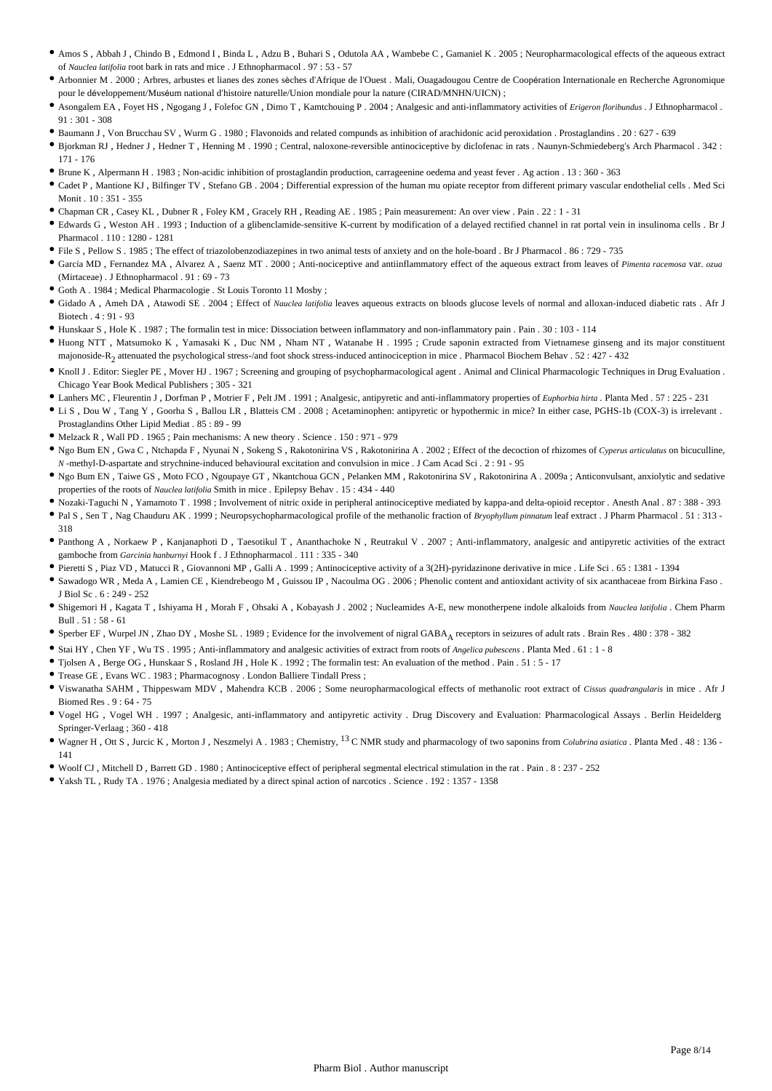- Amos S , Abbah J , Chindo B , Edmond I , Binda L , Adzu B , Buhari S , Odutola AA , Wambebe C , Gamaniel K . 2005 ; Neuropharmacological effects of the aqueous extract of *Nauclea latifolia* root bark in rats and mice . J Ethnopharmacol . 97 : 53 - 57
- Arbonnier M . 2000 ; Arbres, arbustes et lianes des zones sèches d'Afrique de l'Ouest . Mali, Ouagadougou Centre de Coopération Internationale en Recherche Agronomique pour le développement/Muséum national d'histoire naturelle/Union mondiale pour la nature (CIRAD/MNHN/UICN) ;
- Asongalem EA , Foyet HS , Ngogang J , Folefoc GN , Dimo T , Kamtchouing P . 2004 ; Analgesic and anti-inflammatory activities of *Erigeron floribundus* . J Ethnopharmacol . 91 : 301 - 308
- Baumann J , Von Brucchau SV , Wurm G . 1980 ; Flavonoids and related compunds as inhibition of arachidonic acid peroxidation . Prostaglandins . 20 : 627 639
- Bjorkman RJ , Hedner J , Hedner T , Henning M . 1990 ; Central, naloxone-reversible antinociceptive by diclofenac in rats . Naunyn-Schmiedeberg's Arch Pharmacol . 342 : 171 - 176
- Brune K , Alpermann H . 1983 ; Non-acidic inhibition of prostaglandin production, carrageenine oedema and yeast fever . Ag action . 13 : 360 363
- Cadet P , Mantione KJ , Bilfinger TV , Stefano GB . 2004 ; Differential expression of the human mu opiate receptor from different primary vascular endothelial cells . Med Sci Monit . 10 : 351 - 355
- Chapman CR , Casey KL , Dubner R , Foley KM , Gracely RH , Reading AE . 1985 ; Pain measurement: An over view . Pain . 22 : 1 31
- Edwards G , Weston AH . 1993 ; Induction of a glibenclamide-sensitive K-current by modification of a delayed rectified channel in rat portal vein in insulinoma cells . Br J Pharmacol 110 · 1280 - 1281
- File S , Pellow S . 1985 ; The effect of triazolobenzodiazepines in two animal tests of anxiety and on the hole-board . Br J Pharmacol . 86 : 729 735
- García MD , Fernandez MA , Alvarez A , Saenz MT . 2000 ; Anti-nociceptive and antiinflammatory effect of the aqueous extract from leaves of *Pimenta racemosa* var. *ozua*  (Mirtaceae) . J Ethnopharmacol . 91 : 69 - 73
- Goth A . 1984 ; Medical Pharmacologie . St Louis Toronto 11 Mosby ;
- Gidado A , Ameh DA , Atawodi SE . 2004 ; Effect of *Nauclea latifolia* leaves aqueous extracts on bloods glucose levels of normal and alloxan-induced diabetic rats . Afr J Biotech . 4 : 91 - 93
- Hunskaar S , Hole K . 1987 ; The formalin test in mice: Dissociation between inflammatory and non-inflammatory pain . Pain . 30 : 103 114
- Huong NTT , Matsumoko K , Yamasaki K , Duc NM , Nham NT , Watanabe H . 1995 ; Crude saponin extracted from Vietnamese ginseng and its major constituent majonoside-R<sub>2</sub> attenuated the psychological stress-/and foot shock stress-induced antinociception in mice . Pharmacol Biochem Behav . 52 : 427 - 432
- Knoll J . Editor: Siegler PE , Mover HJ . 1967 ; Screening and grouping of psychopharmacological agent . Animal and Clinical Pharmacologic Techniques in Drug Evaluation . Chicago Year Book Medical Publishers ; 305 - 321
- Lanhers MC , Fleurentin J , Dorfman P , Motrier F , Pelt JM . 1991 ; Analgesic, antipyretic and anti-inflammatory properties of *Euphorbia hirta* . Planta Med . 57 : 225 231
- Li S , Dou W , Tang Y , Goorha S , Ballou LR , Blatteis CM . 2008 ; Acetaminophen: antipyretic or hypothermic in mice? In either case, PGHS-1b (COX-3) is irrelevant . Prostaglandins Other Lipid Mediat . 85 : 89 - 99
- Melzack R , Wall PD . 1965 ; Pain mechanisms: A new theory . Science . 150 : 971 979
- Ngo Bum EN , Gwa C , Ntchapda F , Nyunai N , Sokeng S , Rakotonirina VS , Rakotonirina A . 2002 ; Effect of the decoction of rhizomes of *Cyperus articulatus* on bicuculline, *N* -methyl-D-aspartate and strychnine-induced behavioural excitation and convulsion in mice . J Cam Acad Sci . 2 : 91 - 95
- Ngo Bum EN , Taiwe GS , Moto FCO , Ngoupaye GT , Nkantchoua GCN , Pelanken MM , Rakotonirina SV , Rakotonirina A . 2009a ; Anticonvulsant, anxiolytic and sedative properties of the roots of *Nauclea latifolia* Smith in mice . Epilepsy Behav . 15 : 434 - 440
- Nozaki-Taguchi N , Yamamoto T . 1998 ; Involvement of nitric oxide in peripheral antinociceptive mediated by kappa-and delta-opioid receptor . Anesth Anal . 87 : 388 393
- Pal S , Sen T , Nag Chauduru AK . 1999 ; Neuropsychopharmacological profile of the methanolic fraction of *Bryophyllum pinnatum* leaf extract . J Pharm Pharmacol . 51 : 313 318
- Panthong A , Norkaew P , Kanjanaphoti D , Taesotikul T , Ananthachoke N , Reutrakul V . 2007 ; Anti-inflammatory, analgesic and antipyretic activities of the extract gamboche from *Garcinia hanburnyi* Hook f . J Ethnopharmacol . 111 : 335 - 340
- Pieretti S , Piaz VD , Matucci R , Giovannoni MP , Galli A . 1999 ; Antinociceptive activity of a 3(2H)-pyridazinone derivative in mice . Life Sci . 65 : 1381 1394
- Sawadogo WR , Meda A , Lamien CE , Kiendrebeogo M , Guissou IP , Nacoulma OG . 2006 ; Phenolic content and antioxidant activity of six acanthaceae from Birkina Faso .  $I$  Biol Sc  $6 \cdot 249 - 252$
- Shigemori H , Kagata T , Ishiyama H , Morah F , Ohsaki A , Kobayash J . 2002 ; Nucleamides A-E, new monotherpene indole alkaloids from *Nauclea latifolia* . Chem Pharm  $Bull = 51 \cdot 58 = 61$
- Sperber EF, Wurpel JN, Zhao DY, Moshe SL. 1989; Evidence for the involvement of nigral GABA<sub>A</sub> receptors in seizures of adult rats. Brain Res. 480: 378 382
- Stai HY , Chen YF , Wu TS . 1995 ; Anti-inflammatory and analgesic activities of extract from roots of *Angelica pubescens* . Planta Med . 61 : 1 8
- Tjolsen A , Berge OG , Hunskaar S , Rosland JH , Hole K . 1992 ; The formalin test: An evaluation of the method . Pain . 51 : 5 17
- Trease GE , Evans WC . 1983 ; Pharmacognosy . London Balliere Tindall Press ;
- Viswanatha SAHM , Thippeswam MDV , Mahendra KCB . 2006 ; Some neuropharmacological effects of methanolic root extract of *Cissus quadrangularis* in mice . Afr J Biomed Res . 9 : 64 - 75
- Vogel HG , Vogel WH . 1997 ; Analgesic, anti-inflammatory and antipyretic activity . Drug Discovery and Evaluation: Pharmacological Assays . Berlin Heidelderg Springer-Verlaag ; 360 - 418
- Wagner H, Ott S, Jurcic K, Morton J, Neszmelyi A. 1983; Chemistry, <sup>13</sup> C NMR study and pharmacology of two saponins from *Colubrina asiatica* . Planta Med . 48: 136 -141
- Woolf CJ , Mitchell D , Barrett GD . 1980 ; Antinociceptive effect of peripheral segmental electrical stimulation in the rat . Pain . 8 : 237 252
- Yaksh TL , Rudy TA . 1976 ; Analgesia mediated by a direct spinal action of narcotics . Science . 192 : 1357 1358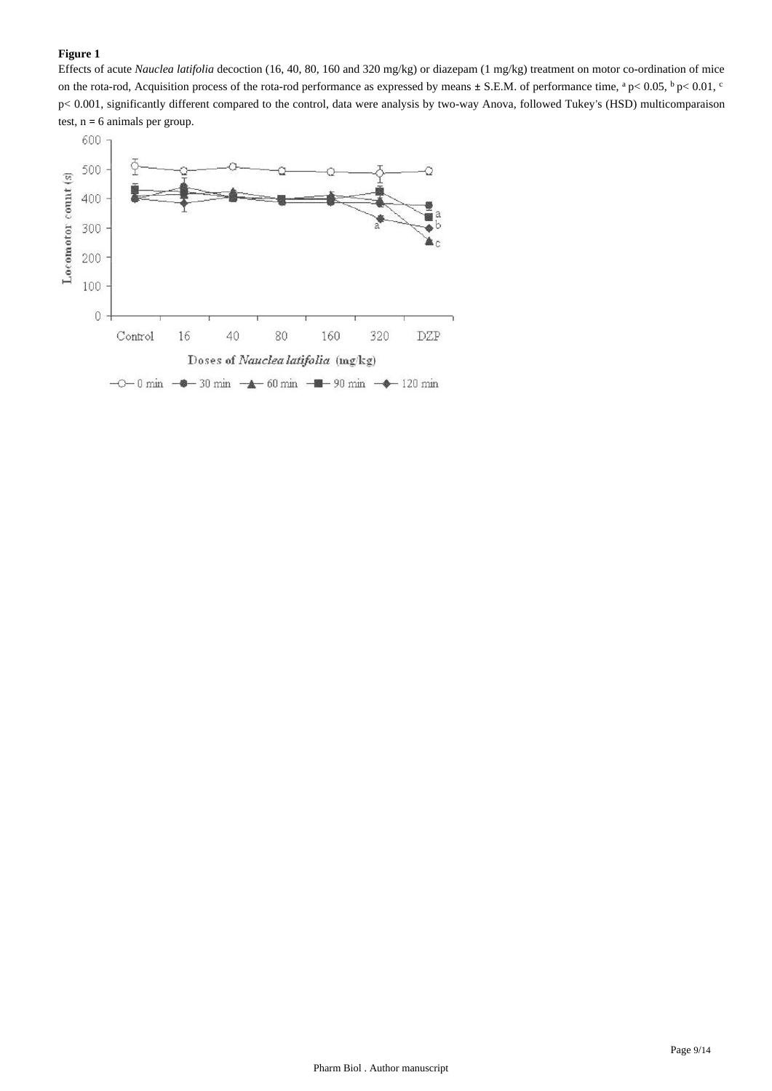# **Figure 1**

Effects of acute *Nauclea latifolia* decoction (16, 40, 80, 160 and 320 mg/kg) or diazepam (1 mg/kg) treatment on motor co-ordination of mice on the rota-rod, Acquisition process of the rota-rod performance as expressed by means  $\pm$  S.E.M. of performance time,  $a$  p< 0.05,  $b$  p< 0.01,  $c$ p< 0.001, significantly different compared to the control, data were analysis by two-way Anova, followed Tukey's (HSD) multicomparaison test, n = 6 animals per group.

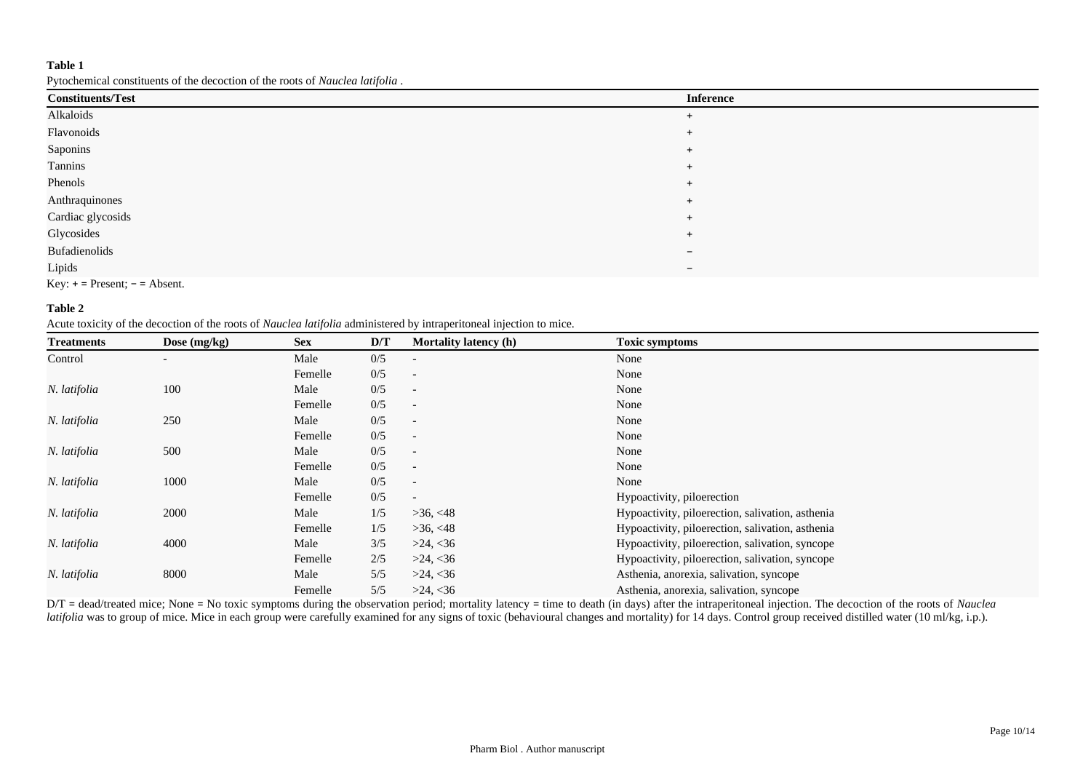Pytochemical constituents of the decoction of the roots of *Nauclea latifolia* .

| <b>Constituents/Test</b>        | <b>Inference</b>         |
|---------------------------------|--------------------------|
| Alkaloids                       | $+$                      |
| Flavonoids                      | $\overline{+}$           |
| Saponins                        | $+$                      |
| Tannins                         | $+$                      |
| Phenols                         | $\overline{+}$           |
| Anthraquinones                  | $\overline{+}$           |
| Cardiac glycosids               | $+$                      |
| Glycosides                      | $+$                      |
| <b>Bufadienolids</b>            | $\overline{\phantom{0}}$ |
| Lipids                          | $\overline{\phantom{a}}$ |
| $Key: + = Present; - = Absent.$ |                          |

#### **Table 2**

Acute toxicity of the decoction of the roots of *Nauclea latifolia* administered by intraperitoneal injection to mice.

| <b>Treatments</b> | Dose $(mg/kg)$           | <b>Sex</b> | D/T | Mortality latency (h)    | <b>Toxic symptoms</b>                            |
|-------------------|--------------------------|------------|-----|--------------------------|--------------------------------------------------|
| Control           | $\overline{\phantom{a}}$ | Male       | 0/5 |                          | None                                             |
|                   |                          | Femelle    | 0/5 | $\overline{\phantom{a}}$ | None                                             |
| N. latifolia      | 100                      | Male       | 0/5 |                          | None                                             |
|                   |                          | Femelle    | 0/5 |                          | None                                             |
| N. latifolia      | 250                      | Male       | 0/5 | $\overline{\phantom{a}}$ | None                                             |
|                   |                          | Femelle    | 0/5 |                          | None                                             |
| N. latifolia      | 500                      | Male       | 0/5 |                          | None                                             |
|                   |                          | Femelle    | 0/5 |                          | None                                             |
| N. latifolia      | 1000                     | Male       | 0/5 | $\overline{a}$           | None                                             |
|                   |                          | Femelle    | 0/5 | $\overline{\phantom{0}}$ | Hypoactivity, piloerection                       |
| N. latifolia      | 2000                     | Male       | 1/5 | >36, <48                 | Hypoactivity, piloerection, salivation, asthenia |
|                   |                          | Femelle    | 1/5 | >36, <48                 | Hypoactivity, piloerection, salivation, asthenia |
| N. latifolia      | 4000                     | Male       | 3/5 | >24, <36                 | Hypoactivity, piloerection, salivation, syncope  |
|                   |                          | Femelle    | 2/5 | >24, <36                 | Hypoactivity, piloerection, salivation, syncope  |
| N. latifolia      | 8000                     | Male       | 5/5 | >24, <36                 | Asthenia, anorexia, salivation, syncope          |
|                   |                          | Femelle    | 5/5 | >24, <36                 | Asthenia, anorexia, salivation, syncope          |

D/T = dead/treated mice; None = No toxic symptoms during the observation period; mortality latency = time to death (in days) after the intraperitoneal injection. The decoction of the roots of *Nauclea latifolia* was to group of mice. Mice in each group were carefully examined for any signs of toxic (behavioural changes and mortality) for 14 days. Control group received distilled water (10 ml/kg, i.p.).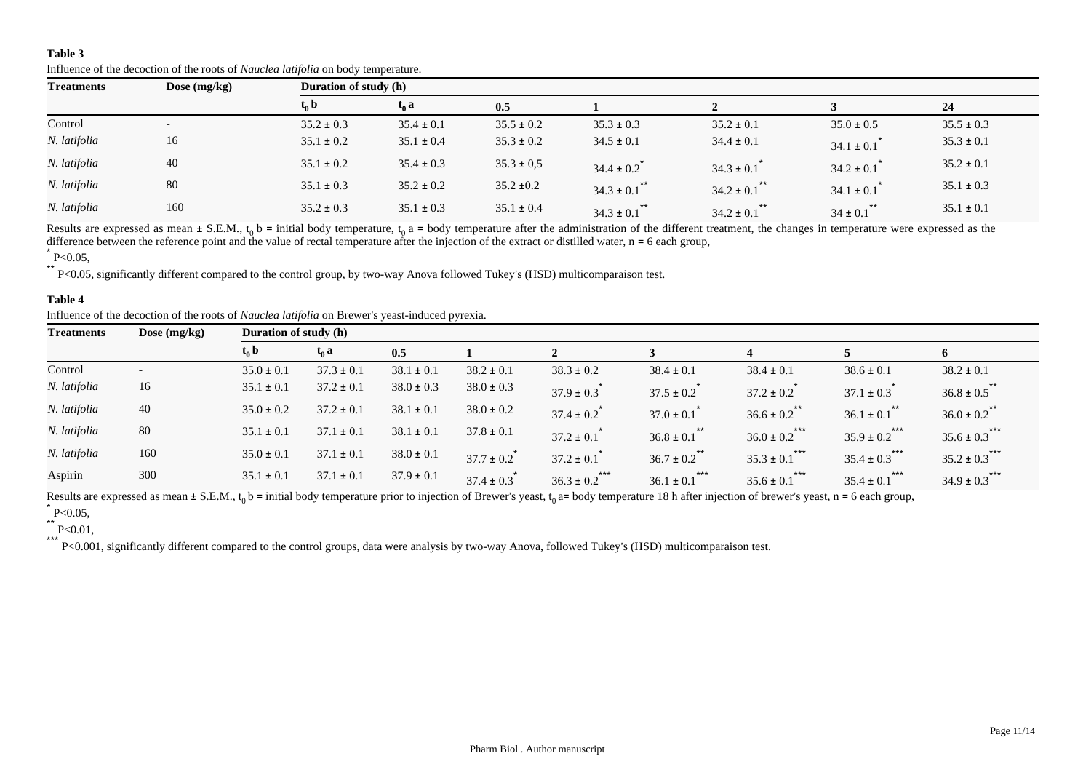| <b>Treatments</b> | Dose $(mg/kg)$ | Duration of study (h) |                |                |                         |                         |                    |                |  |  |
|-------------------|----------------|-----------------------|----------------|----------------|-------------------------|-------------------------|--------------------|----------------|--|--|
|                   |                | $t_0$ b               | $t_0 a$        | 0.5            |                         |                         |                    | 24             |  |  |
| Control           |                | $35.2 \pm 0.3$        | $35.4 \pm 0.1$ | $35.5 \pm 0.2$ | $35.3 \pm 0.3$          | $35.2 \pm 0.1$          | $35.0 \pm 0.5$     | $35.5 \pm 0.3$ |  |  |
| N. latifolia      | 16             | $35.1 \pm 0.2$        | $35.1 \pm 0.4$ | $35.3 \pm 0.2$ | $34.5 \pm 0.1$          | $34.4 \pm 0.1$          | $34.1 \pm 0.1$     | $35.3 \pm 0.1$ |  |  |
| N. latifolia      | 40             | $35.1 \pm 0.2$        | $35.4 \pm 0.3$ | $35.3 \pm 0.5$ | $34.4 \pm 0.2$          | $34.3 \pm 0.1$          | $34.2 \pm 0.1$     | $35.2 \pm 0.1$ |  |  |
| N. latifolia      | 80             | $35.1 \pm 0.3$        | $35.2 \pm 0.2$ | $35.2 \pm 0.2$ | $34.3 \pm 0.1$ **       | $***$<br>$34.2 \pm 0.1$ | $34.1 \pm 0.1$     | $35.1 \pm 0.3$ |  |  |
| N. latifolia      | 160            | $35.2 \pm 0.3$        | $35.1 \pm 0.3$ | $35.1 \pm 0.4$ | $***$<br>$34.3 \pm 0.1$ | **<br>$34.2 \pm 0.1$    | **<br>$34 \pm 0.1$ | $35.1 \pm 0.1$ |  |  |

Influence of the decoction of the roots of *Nauclea latifolia* on body temperature.

Results are expressed as mean  $\pm$  S.E.M.,  $t_0$  b = initial body temperature,  $t_0$  a = body temperature after the administration of the different treatment, the changes in temperature were expressed as the difference between the reference point and the value of rectal temperature after the injection of the extract or distilled water,  $n = 6$  each group,

\*\* P<0.05, significantly different compared to the control group, by two-way Anova followed Tukey's (HSD) multicomparaison test.

# **Table 4**

Influence of the decoction of the roots of *Nauclea latifolia* on Brewer's yeast-induced pyrexia.

| <b>Treatments</b> | Dose $(mg/kg)$           | <b>Duration of study (h)</b> |                |                |                             |                             |                              |                               |                               |                               |
|-------------------|--------------------------|------------------------------|----------------|----------------|-----------------------------|-----------------------------|------------------------------|-------------------------------|-------------------------------|-------------------------------|
|                   |                          | $t_0$ b                      | $t_0$ a        | 0.5            |                             |                             |                              |                               |                               | 6                             |
| Control           | $\overline{\phantom{0}}$ | $35.0 \pm 0.1$               | $37.3 \pm 0.1$ | $38.1 \pm 0.1$ | $38.2 \pm 0.1$              | $38.3 \pm 0.2$              | $38.4 \pm 0.1$               | $38.4 \pm 0.1$                | $38.6 \pm 0.1$                | $38.2 \pm 0.1$                |
| N. latifolia      | 16                       | $35.1 \pm 0.1$               | $37.2 \pm 0.1$ | $38.0 \pm 0.3$ | $38.0 \pm 0.3$              | $37.9 \pm 0.3$ <sup>*</sup> | $37.5 \pm 0.2$               | $37.2 \pm 0.2$                | $37.1 \pm 0.3$                | $36.8 \pm 0.5$ **             |
| N. latifolia      | 40                       | $35.0 \pm 0.2$               | $37.2 \pm 0.1$ | $38.1 \pm 0.1$ | $38.0 \pm 0.2$              | $37.4 \pm 0.2$ <sup>*</sup> | $37.0 \pm 0.1$               | $36.6 \pm 0.2$ <sup>**</sup>  | $36.1 \pm 0.1$ <sup>**</sup>  | $36.0 \pm 0.2$ <sup>**</sup>  |
| N. latifolia      | 80                       | $35.1 \pm 0.1$               | $37.1 \pm 0.1$ | $38.1 \pm 0.1$ | $37.8 \pm 0.1$              | $37.2 \pm 0.1$ <sup>*</sup> | $36.8 \pm 0.1$ <sup>**</sup> | $36.0 \pm 0.2$ <sup>***</sup> | $35.9 \pm 0.2$ <sup>***</sup> | $35.6 \pm 0.3$ ***            |
| N. latifolia      | 160                      | $35.0 \pm 0.1$               | $37.1 \pm 0.1$ | $38.0 \pm 0.1$ | $37.7 \pm 0.2$              | $37.2 \pm 0.1$              | $**$<br>$36.7 \pm 0.2$       | $35.3 \pm 0.1$ <sup>***</sup> | $35.4 \pm 0.3$ ***            | $35.2 \pm 0.3$ ***            |
| Aspirin           | 300                      | $35.1 \pm 0.1$               | $37.1 \pm 0.1$ | $37.9 \pm 0.1$ | $37.4 \pm 0.3$ <sup>*</sup> | $***$<br>$36.3 \pm 0.2$     | ***<br>$36.1 \pm 0.1$        | $35.6 \pm 0.1$ <sup>***</sup> | $35.4 \pm 0.1$ <sup>***</sup> | $34.9 \pm 0.3$ <sup>***</sup> |

Results are expressed as mean  $\pm$  S.E.M.,  $t_0$  b = initial body temperature prior to injection of Brewer's yeast,  $t_0$  a= body temperature 18 h after injection of brewer's yeast, n = 6 each group,  $*$  P<0.05,

 $*$  P<0.01,

\*\*\* P<0.001, significantly different compared to the control groups, data were analysis by two-way Anova, followed Tukey's (HSD) multicomparaison test.

 $*$  P<0.05,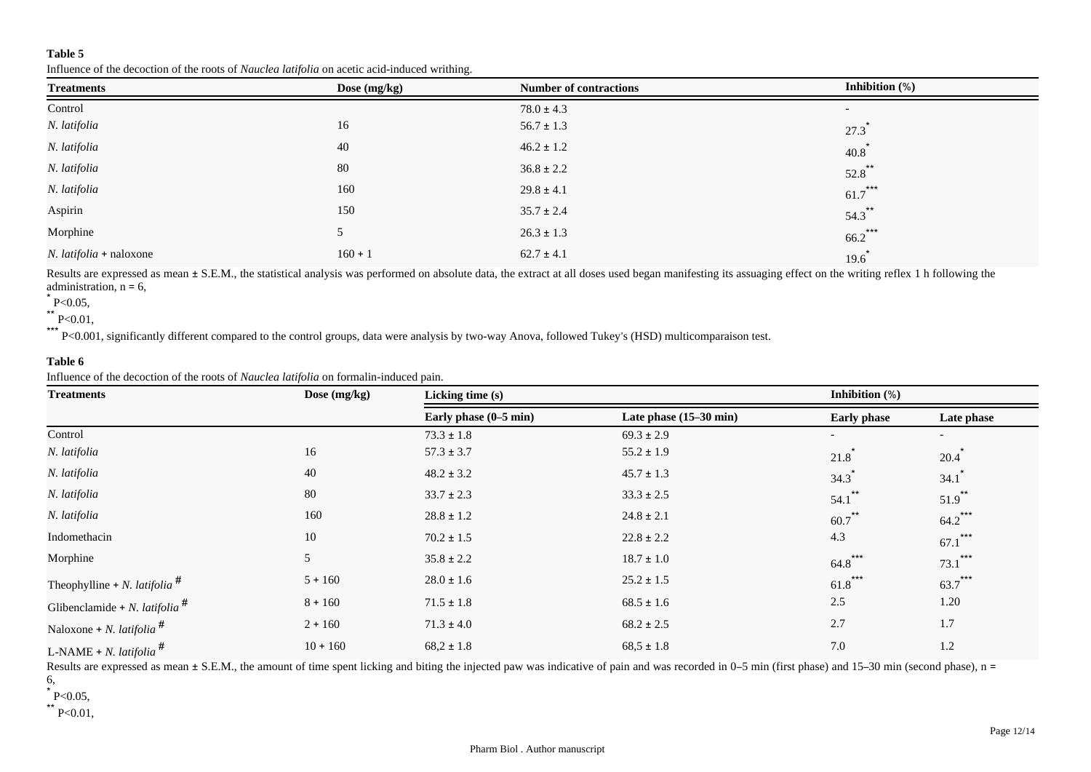Influence of the decoction of the roots of *Nauclea latifolia* on acetic acid-induced writhing.

| <b>Treatments</b>              | Dose (mg/kg) | <b>Number of contractions</b> | Inhibition $(\%)$        |
|--------------------------------|--------------|-------------------------------|--------------------------|
| Control                        |              | $78.0 \pm 4.3$                | $\overline{\phantom{a}}$ |
| N. latifolia                   | 16           | $56.7 \pm 1.3$                | $27.3$ <sup>*</sup>      |
| N. latifolia                   | 40           | $46.2 \pm 1.2$                | $40.8^*$                 |
| N. latifolia                   | 80           | $36.8 \pm 2.2$                | $52.8$ **                |
| N. latifolia                   | 160          | $29.8 \pm 4.1$                | $61.7$ ***               |
| Aspirin                        | 150          | $35.7 \pm 2.4$                | $54.3$ **                |
| Morphine                       | 5            | $26.3 \pm 1.3$                | $66.2$ ***               |
| <i>N. latifolia</i> + naloxone | $160 + 1$    | $62.7 \pm 4.1$                | $19.6^*$                 |

Results are expressed as mean  $\pm$  S.E.M., the statistical analysis was performed on absolute data, the extract at all doses used began manifesting its assuaging effect on the writing reflex 1 h following the administration,  $n = 6$ ,

 $*$  P<0.05,

 $*$  P<0.01, \*\*\*

P<0.001, significantly different compared to the control groups, data were analysis by two-way Anova, followed Tukey's (HSD) multicomparaison test.

# **Table 6**

Influence of the decoction of the roots of *Nauclea latifolia* on formalin-induced pain.

| <b>Treatments</b>                               | Dose (mg/kg) | Licking time (s)      |                        |                      |                          |  |
|-------------------------------------------------|--------------|-----------------------|------------------------|----------------------|--------------------------|--|
|                                                 |              | Early phase (0-5 min) | Late phase (15-30 min) | <b>Early phase</b>   | Late phase               |  |
| Control                                         |              | $73.3 \pm 1.8$        | $69.3 \pm 2.9$         |                      | $\overline{\phantom{a}}$ |  |
| N. latifolia                                    | 16           | $57.3 \pm 3.7$        | $55.2 \pm 1.9$         | 21.8                 | 20.4                     |  |
| N. latifolia                                    | 40           | $48.2 \pm 3.2$        | $45.7 \pm 1.3$         | $34.3$ <sup>*</sup>  | 34.1                     |  |
| N. latifolia                                    | 80           | $33.7 \pm 2.3$        | $33.3 \pm 2.5$         | $***$<br>54.1        | $51.9$ **                |  |
| N. latifolia                                    | 160          | $28.8 \pm 1.2$        | $24.8 \pm 2.1$         | $60.7$ <sup>**</sup> | $64.2$ ***               |  |
| Indomethacin                                    | 10           | $70.2 \pm 1.5$        | $22.8 \pm 2.2$         | 4.3                  | ***<br>67.1              |  |
| Morphine                                        | 5            | $35.8 \pm 2.2$        | $18.7 \pm 1.0$         | $64.8$ ***           | ***<br>73.1              |  |
| Theophylline + <i>N. latifolia</i> <sup>#</sup> | $5 + 160$    | $28.0 \pm 1.6$        | $25.2 \pm 1.5$         | ***<br>61.8          | $63.7***$                |  |
| Glibenclamide + N. latifolia <sup>#</sup>       | $8 + 160$    | $71.5 \pm 1.8$        | $68.5 \pm 1.6$         | 2.5                  | 1.20                     |  |
| Naloxone + <i>N. latifolia</i> <sup>#</sup>     | $2 + 160$    | $71.3 \pm 4.0$        | $68.2 \pm 2.5$         | 2.7                  | 1.7                      |  |
| L-NAME + N. latifolia <sup>#</sup>              | $10 + 160$   | $68,2 \pm 1.8$        | $68,5 \pm 1.8$         | 7.0                  | 1.2                      |  |

Results are expressed as mean ± S.E.M., the amount of time spent licking and biting the injected paw was indicative of pain and was recorded in 0–5 min (first phase) and 15–30 min (second phase), n = 6,

 $*$  P<0.05,

 $*$  P<0.01,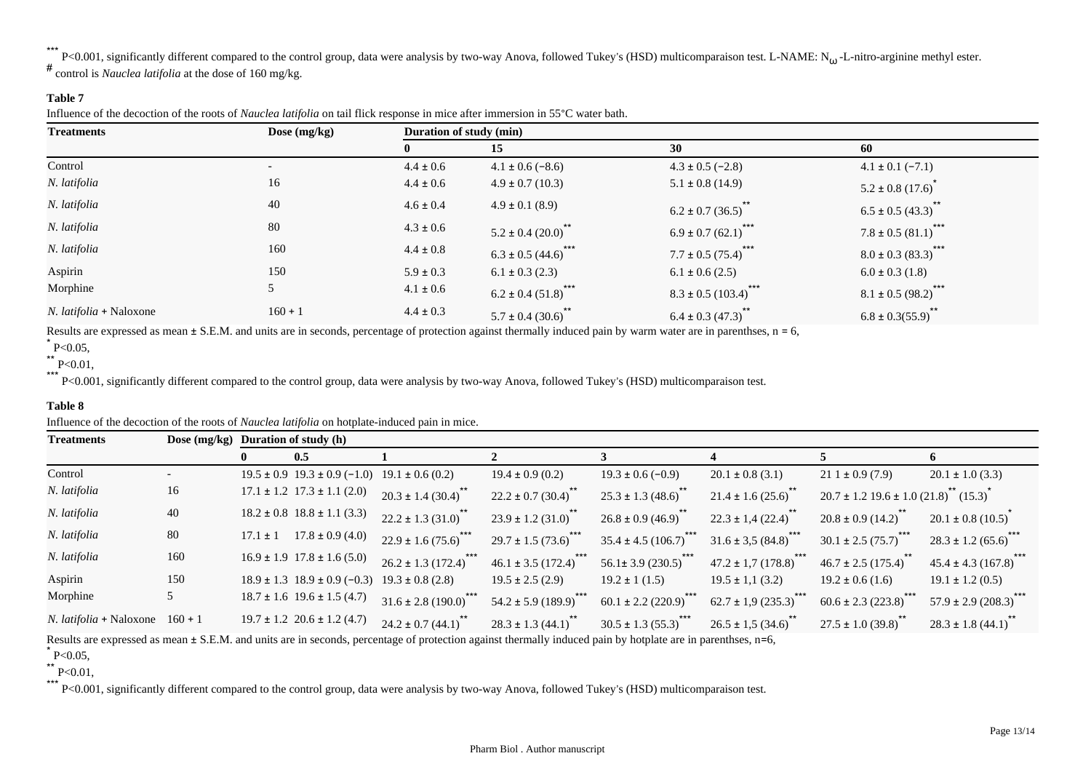\*\*\*  $k^*$  P<0.001, significantly different compared to the control group, data were analysis by two-way Anova, followed Tukey's (HSD) multicomparaison test. L-NAME: N<sub>tu</sub>-L-nitro-arginine methyl ester.

# control is *Nauclea latifolia* at the dose of 160 mg/kg.

# **Table 7**

Influence of the decoction of the roots of *Nauclea latifolia* on tail flick response in mice after immersion in 55°C water bath.

| <b>Treatments</b>              | Dose $(mg/kg)$           | Duration of study (min) |                               |                                  |                               |  |  |
|--------------------------------|--------------------------|-------------------------|-------------------------------|----------------------------------|-------------------------------|--|--|
|                                |                          |                         | 15                            | 30                               | 60                            |  |  |
| Control                        | $\overline{\phantom{0}}$ | $4.4 \pm 0.6$           | $4.1 \pm 0.6$ (-8.6)          | $4.3 \pm 0.5$ (-2.8)             | $4.1 \pm 0.1 (-7.1)$          |  |  |
| N. latifolia                   | 16                       | $4.4 \pm 0.6$           | $4.9 \pm 0.7$ (10.3)          | $5.1 \pm 0.8$ (14.9)             | $5.2 \pm 0.8$ (17.6)          |  |  |
| N. latifolia                   | 40                       | $4.6 \pm 0.4$           | $4.9 \pm 0.1$ (8.9)           | $6.2 \pm 0.7$ (36.5)             | $6.5 \pm 0.5 (43.3)$          |  |  |
| N. latifolia                   | 80                       | $4.3 \pm 0.6$           | $5.2 \pm 0.4 (20.0)^{2}$      | $6.9 \pm 0.7 (62.1)$ ***         | $7.8 \pm 0.5 (81.1)^{***}$    |  |  |
| N. latifolia                   | 160                      | $4.4 \pm 0.8$           | $***$<br>$6.3 \pm 0.5(44.6)$  | ***<br>$7.7 \pm 0.5 (75.4)^*$    | $***$<br>$8.0 \pm 0.3$ (83.3) |  |  |
| Aspirin                        | 150                      | $5.9 \pm 0.3$           | $6.1 \pm 0.3$ (2.3)           | $6.1 \pm 0.6$ (2.5)              | $6.0 \pm 0.3$ (1.8)           |  |  |
| Morphine                       |                          | $4.1 \pm 0.6$           | $6.2 \pm 0.4 (51.8)$ ***      | ***<br>$8.3 \pm 0.5 (103.4)^{4}$ | $8.1 \pm 0.5 (98.2)^{***}$    |  |  |
| <i>N. latifolia</i> + Naloxone | $160 + 1$                | $4.4 \pm 0.3$           | $***$<br>$5.7 \pm 0.4 (30.6)$ | $6.4 \pm 0.3(47.3)$              | $6.8 \pm 0.3(55.9)$           |  |  |

Results are expressed as mean  $\pm$  S.E.M. and units are in seconds, percentage of protection against thermally induced pain by warm water are in parenthses,  $n = 6$ ,

\*\*\* P<0.001, significantly different compared to the control group, data were analysis by two-way Anova, followed Tukey's (HSD) multicomparaison test.

# **Table 8**

Influence of the decoction of the roots of *Nauclea latifolia* on hotplate-induced pain in mice.

| <b>Treatments</b>                        | Dose $(mg/kg)$ |              | Duration of study (h)                                     |                                     |                                     |                                       |                                    |                                                                        |                                    |
|------------------------------------------|----------------|--------------|-----------------------------------------------------------|-------------------------------------|-------------------------------------|---------------------------------------|------------------------------------|------------------------------------------------------------------------|------------------------------------|
|                                          |                |              | 0.5                                                       |                                     |                                     |                                       |                                    |                                                                        |                                    |
| Control                                  |                |              | $19.5 \pm 0.9$ $19.3 \pm 0.9$ (-1.0) $19.1 \pm 0.6$ (0.2) |                                     | $19.4 \pm 0.9$ (0.2)                | $19.3 \pm 0.6 (-0.9)$                 | $20.1 \pm 0.8$ (3.1)               | $211 \pm 0.9(7.9)$                                                     | $20.1 \pm 1.0$ (3.3)               |
| N. latifolia                             | 16             |              | $17.1 \pm 1.2$ $17.3 \pm 1.1$ (2.0)                       | $20.3 \pm 1.4 (30.4)^{*}$           | $22.2 \pm 0.7 (30.4)^{10}$          | $25.3 \pm 1.3 (48.6)$                 | $21.4 \pm 1.6 (25.6)^{**}$         | $20.7 \pm 1.2$ 19.6 $\pm$ 1.0 (21.8) <sup>**</sup> (15.3) <sup>*</sup> |                                    |
| N. latifolia                             | 40             |              | $18.2 \pm 0.8$ $18.8 \pm 1.1$ (3.3)                       | $22.2 \pm 1.3$ (31.0) <sup>**</sup> | $23.9 \pm 1.2$ (31.0) <sup>**</sup> | $26.8 \pm 0.9(46.9)^{**}$             | $22.3 \pm 1.4 (22.4)^{**}$         | $20.8 \pm 0.9(14.2)^{**}$                                              | $20.1 \pm 0.8$ (10.5) <sup>2</sup> |
| N. latifolia                             | 80             | $17.1 \pm 1$ | $17.8 \pm 0.9$ (4.0)                                      | $22.9 \pm 1.6(75.6)$ ***            | $29.7 \pm 1.5(73.6)$ ***            | $35.4 \pm 4.5(106.7)$                 | $31.6 \pm 3.5(84.8)$               | $30.1 \pm 2.5 (75.7)^{***}$                                            | $28.3 \pm 1.2 (65.6)$              |
| N. latifolia                             | 160            |              | $16.9 \pm 1.9$ 17.8 $\pm$ 1.6 (5.0)                       | $26.2 \pm 1.3(172.4)^{***}$         | $46.1 \pm 3.5 (172.4)^{***}$        | 56.1± 3.9 $(230.5)$ <sup>***</sup>    | 47.2 ± 1,7 $(178.8)^{***}$         | $46.7 \pm 2.5(175.4)^{**}$                                             | $45.4 \pm 4.3 (167.8)^{***}$       |
| Aspirin                                  | 150            |              | $18.9 \pm 1.3$ $18.9 \pm 0.9$ (-0.3)                      | $19.3 \pm 0.8$ (2.8)                | $19.5 \pm 2.5$ (2.9)                | $19.2 \pm 1(1.5)$                     | $19.5 \pm 1,1(3.2)$                | $19.2 \pm 0.6$ (1.6)                                                   | $19.1 \pm 1.2$ (0.5)               |
| Morphine                                 |                |              | $18.7 \pm 1.6$ 19.6 $\pm$ 1.5 (4.7)                       | $31.6 \pm 2.8(190.0)^{***}$         | $54.2 \pm 5.9 (189.9)^{20}$         | $60.1 \pm 2.2 (220.9)$ <sup>***</sup> | $62.7 \pm 1.9 (235.3)$             | $60.6 \pm 2.3(223.8)$                                                  | $57.9 \pm 2.9 (208.3)$             |
| <i>N. latifolia</i> + Naloxone $160 + 1$ |                |              | $19.7 \pm 1.2$ 20.6 $\pm$ 1.2 (4.7)                       | $24.2 \pm 0.7(44.1)^{**}$           | $28.3 \pm 1.3(44.1)^{**}$           | $30.5 \pm 1.3 (55.3)$                 | $26.5 \pm 1,5(34.6)$ <sup>**</sup> | $27.5 \pm 1.0$ (39.8)                                                  | $28.3 \pm 1.8$ (44.1)              |

Results are expressed as mean  $\pm$  S.E.M. and units are in seconds, percentage of protection against thermally induced pain by hotplate are in parenthses, n=6,

 $*$  P<0.05,

 $*$  P<0.01,

\*\*\* P<0.001, significantly different compared to the control group, data were analysis by two-way Anova, followed Tukey's (HSD) multicomparaison test.

 $*$  P<0.05,

 $*$  P<0.01,